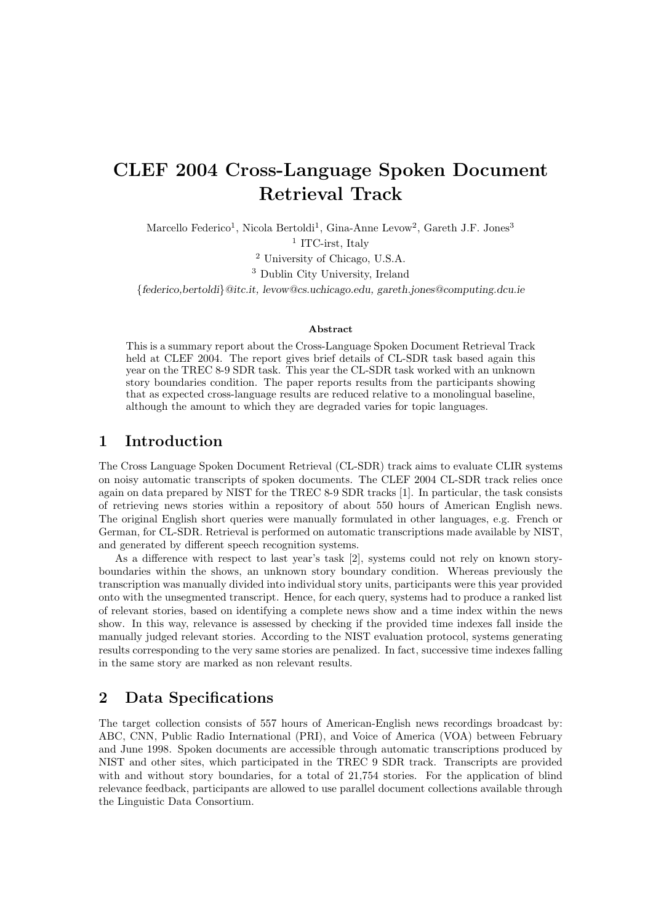# CLEF 2004 Cross-Language Spoken Document Retrieval Track

Marcello Federico<sup>1</sup>, Nicola Bertoldi<sup>1</sup>, Gina-Anne Levow<sup>2</sup>, Gareth J.F. Jones<sup>3</sup>

<sup>1</sup> ITC-irst, Italy

<sup>2</sup> University of Chicago, U.S.A.

<sup>3</sup> Dublin City University, Ireland

{federico,bertoldi}@itc.it, levow@cs.uchicago.edu, gareth.jones@computing.dcu.ie

#### Abstract

This is a summary report about the Cross-Language Spoken Document Retrieval Track held at CLEF 2004. The report gives brief details of CL-SDR task based again this year on the TREC 8-9 SDR task. This year the CL-SDR task worked with an unknown story boundaries condition. The paper reports results from the participants showing that as expected cross-language results are reduced relative to a monolingual baseline, although the amount to which they are degraded varies for topic languages.

# 1 Introduction

The Cross Language Spoken Document Retrieval (CL-SDR) track aims to evaluate CLIR systems on noisy automatic transcripts of spoken documents. The CLEF 2004 CL-SDR track relies once again on data prepared by NIST for the TREC 8-9 SDR tracks [1]. In particular, the task consists of retrieving news stories within a repository of about 550 hours of American English news. The original English short queries were manually formulated in other languages, e.g. French or German, for CL-SDR. Retrieval is performed on automatic transcriptions made available by NIST, and generated by different speech recognition systems.

As a difference with respect to last year's task [2], systems could not rely on known storyboundaries within the shows, an unknown story boundary condition. Whereas previously the transcription was manually divided into individual story units, participants were this year provided onto with the unsegmented transcript. Hence, for each query, systems had to produce a ranked list of relevant stories, based on identifying a complete news show and a time index within the news show. In this way, relevance is assessed by checking if the provided time indexes fall inside the manually judged relevant stories. According to the NIST evaluation protocol, systems generating results corresponding to the very same stories are penalized. In fact, successive time indexes falling in the same story are marked as non relevant results.

# 2 Data Specifications

The target collection consists of 557 hours of American-English news recordings broadcast by: ABC, CNN, Public Radio International (PRI), and Voice of America (VOA) between February and June 1998. Spoken documents are accessible through automatic transcriptions produced by NIST and other sites, which participated in the TREC 9 SDR track. Transcripts are provided with and without story boundaries, for a total of 21,754 stories. For the application of blind relevance feedback, participants are allowed to use parallel document collections available through the Linguistic Data Consortium.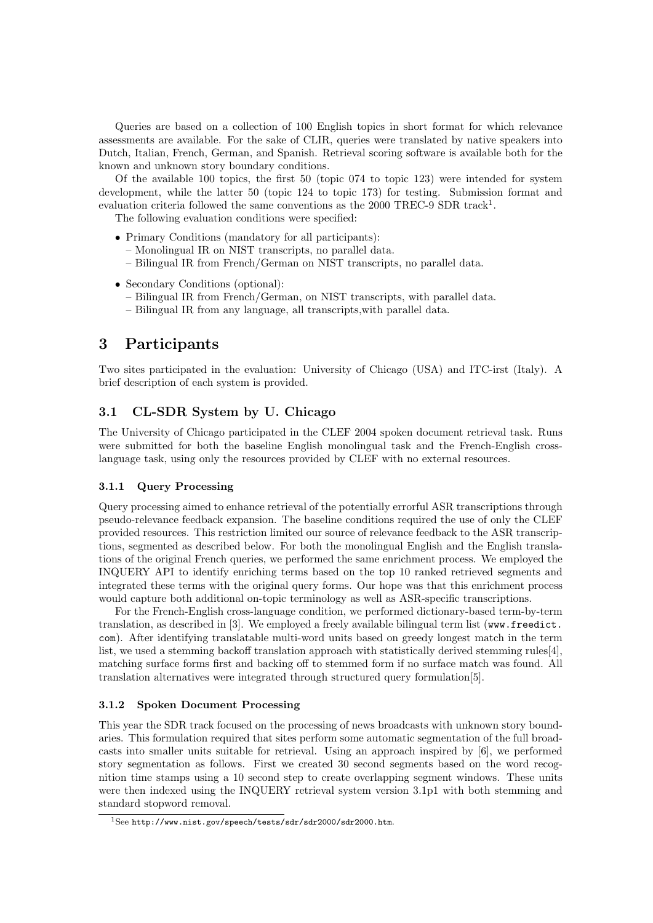Queries are based on a collection of 100 English topics in short format for which relevance assessments are available. For the sake of CLIR, queries were translated by native speakers into Dutch, Italian, French, German, and Spanish. Retrieval scoring software is available both for the known and unknown story boundary conditions.

Of the available 100 topics, the first 50 (topic 074 to topic 123) were intended for system development, while the latter 50 (topic 124 to topic 173) for testing. Submission format and evaluation criteria followed the same conventions as the 2000 TREC-9 SDR track<sup>1</sup>.

The following evaluation conditions were specified:

- Primary Conditions (mandatory for all participants):
	- Monolingual IR on NIST transcripts, no parallel data.
	- Bilingual IR from French/German on NIST transcripts, no parallel data.
- Secondary Conditions (optional):
	- Bilingual IR from French/German, on NIST transcripts, with parallel data.
	- Bilingual IR from any language, all transcripts,with parallel data.

# 3 Participants

Two sites participated in the evaluation: University of Chicago (USA) and ITC-irst (Italy). A brief description of each system is provided.

## 3.1 CL-SDR System by U. Chicago

The University of Chicago participated in the CLEF 2004 spoken document retrieval task. Runs were submitted for both the baseline English monolingual task and the French-English crosslanguage task, using only the resources provided by CLEF with no external resources.

## 3.1.1 Query Processing

Query processing aimed to enhance retrieval of the potentially errorful ASR transcriptions through pseudo-relevance feedback expansion. The baseline conditions required the use of only the CLEF provided resources. This restriction limited our source of relevance feedback to the ASR transcriptions, segmented as described below. For both the monolingual English and the English translations of the original French queries, we performed the same enrichment process. We employed the INQUERY API to identify enriching terms based on the top 10 ranked retrieved segments and integrated these terms with the original query forms. Our hope was that this enrichment process would capture both additional on-topic terminology as well as ASR-specific transcriptions.

For the French-English cross-language condition, we performed dictionary-based term-by-term translation, as described in [3]. We employed a freely available bilingual term list (www.freedict. com). After identifying translatable multi-word units based on greedy longest match in the term list, we used a stemming backoff translation approach with statistically derived stemming rules[4], matching surface forms first and backing off to stemmed form if no surface match was found. All translation alternatives were integrated through structured query formulation[5].

#### 3.1.2 Spoken Document Processing

This year the SDR track focused on the processing of news broadcasts with unknown story boundaries. This formulation required that sites perform some automatic segmentation of the full broadcasts into smaller units suitable for retrieval. Using an approach inspired by [6], we performed story segmentation as follows. First we created 30 second segments based on the word recognition time stamps using a 10 second step to create overlapping segment windows. These units were then indexed using the INQUERY retrieval system version 3.1p1 with both stemming and standard stopword removal.

<sup>1</sup>See http://www.nist.gov/speech/tests/sdr/sdr2000/sdr2000.htm.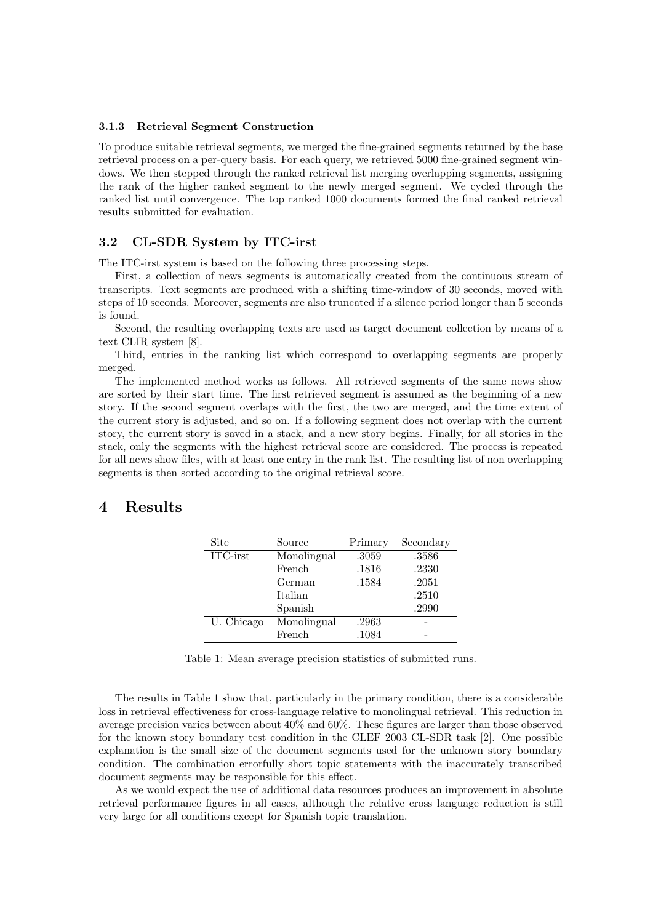#### 3.1.3 Retrieval Segment Construction

To produce suitable retrieval segments, we merged the fine-grained segments returned by the base retrieval process on a per-query basis. For each query, we retrieved 5000 fine-grained segment windows. We then stepped through the ranked retrieval list merging overlapping segments, assigning the rank of the higher ranked segment to the newly merged segment. We cycled through the ranked list until convergence. The top ranked 1000 documents formed the final ranked retrieval results submitted for evaluation.

### 3.2 CL-SDR System by ITC-irst

The ITC-irst system is based on the following three processing steps.

First, a collection of news segments is automatically created from the continuous stream of transcripts. Text segments are produced with a shifting time-window of 30 seconds, moved with steps of 10 seconds. Moreover, segments are also truncated if a silence period longer than 5 seconds is found.

Second, the resulting overlapping texts are used as target document collection by means of a text CLIR system [8].

Third, entries in the ranking list which correspond to overlapping segments are properly merged.

The implemented method works as follows. All retrieved segments of the same news show are sorted by their start time. The first retrieved segment is assumed as the beginning of a new story. If the second segment overlaps with the first, the two are merged, and the time extent of the current story is adjusted, and so on. If a following segment does not overlap with the current story, the current story is saved in a stack, and a new story begins. Finally, for all stories in the stack, only the segments with the highest retrieval score are considered. The process is repeated for all news show files, with at least one entry in the rank list. The resulting list of non overlapping segments is then sorted according to the original retrieval score.

## 4 Results

| Site       | Source      | Primary | Secondary |
|------------|-------------|---------|-----------|
| ITC-irst   | Monolingual | .3059   | .3586     |
|            | French      | .1816   | .2330     |
|            | German      | .1584   | $.2051\,$ |
|            | Italian     |         | .2510     |
|            | Spanish     |         | .2990     |
| U. Chicago | Monolingual | .2963   |           |
|            | French      | .1084   |           |

Table 1: Mean average precision statistics of submitted runs.

The results in Table 1 show that, particularly in the primary condition, there is a considerable loss in retrieval effectiveness for cross-language relative to monolingual retrieval. This reduction in average precision varies between about 40% and 60%. These figures are larger than those observed for the known story boundary test condition in the CLEF 2003 CL-SDR task [2]. One possible explanation is the small size of the document segments used for the unknown story boundary condition. The combination errorfully short topic statements with the inaccurately transcribed document segments may be responsible for this effect.

As we would expect the use of additional data resources produces an improvement in absolute retrieval performance figures in all cases, although the relative cross language reduction is still very large for all conditions except for Spanish topic translation.